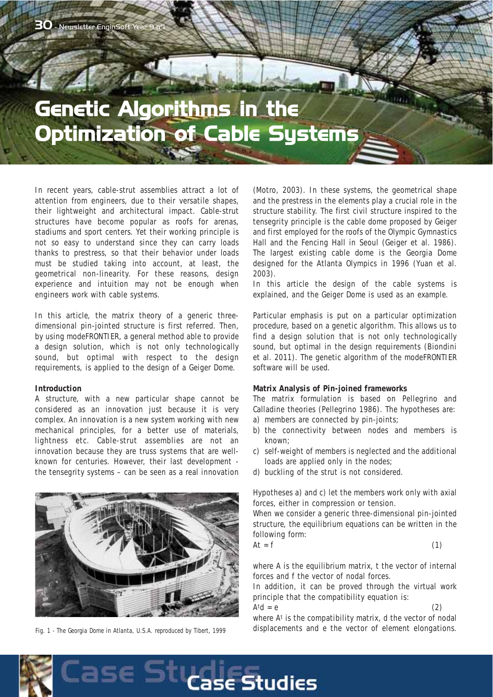# Ontimization of Cable Sue Optimization of Cable Systems

In recent years, cable-strut assemblies attract a lot of attention from engineers, due to their versatile shapes, their lightweight and architectural impact. Cable-strut structures have become popular as roofs for arenas, stadiums and sport centers. Yet their working principle is not so easy to understand since they can carry loads thanks to prestress, so that their behavior under loads must be studied taking into account, at least, the geometrical non-linearity. For these reasons, design experience and intuition may not be enough when engineers work with cable systems.

In this article, the matrix theory of a generic threedimensional pin-jointed structure is first referred. Then, by using modeFRONTIER, a general method able to provide a design solution, which is not only technologically sound, but optimal with respect to the design requirements, is applied to the design of a Geiger Dome.

## **Introduction**

A structure, with a new particular shape cannot be considered as an innovation just because it is very complex. An innovation is a new system working with new mechanical principles, for a better use of materials, lightness etc. Cable-strut assemblies are not an innovation because they are truss systems that are wellknown for centuries. However, their last development the tensegrity systems – can be seen as a real innovation



*Fig. 1 - The Georgia Dome in Atlanta, U.S.A. reproduced by Tibert, 1999*

(Motro, 2003). In these systems, the geometrical shape and the prestress in the elements play a crucial role in the structure stability. The first civil structure inspired to the tensegrity principle is the cable dome proposed by Geiger and first employed for the roofs of the Olympic Gymnastics Hall and the Fencing Hall in Seoul (Geiger et al. 1986). The largest existing cable dome is the Georgia Dome designed for the Atlanta Olympics in 1996 (Yuan et al. 2003).

In this article the design of the cable systems is explained, and the Geiger Dome is used as an example.

Particular emphasis is put on a particular optimization procedure, based on a genetic algorithm. This allows us to find a design solution that is not only technologically sound, but optimal in the design requirements (Biondini et al. 2011). The genetic algorithm of the modeFRONTIER software will be used.

#### **Matrix Analysis of Pin-joined frameworks**

The matrix formulation is based on Pellegrino and Calladine theories (Pellegrino 1986). The hypotheses are:

- a) members are connected by pin-joints;
- b) the connectivity between nodes and members is known;
- c) self-weight of members is neglected and the additional loads are applied only in the nodes;
- d) buckling of the strut is not considered.

Hypotheses a) and c) let the members work only with axial forces, either in compression or tension.

When we consider a generic three-dimensional pin-jointed structure, the equilibrium equations can be written in the following form:

$$
At = f \tag{1}
$$

where A is the equilibrium matrix, t the vector of internal forces and f the vector of nodal forces.

In addition, it can be proved through the virtual work principle that the compatibility equation is:

 $A<sup>t</sup>d = e$  (2) where At is the compatibility matrix, d the vector of nodal displacements and e the vector of element elongations.

**se Studies**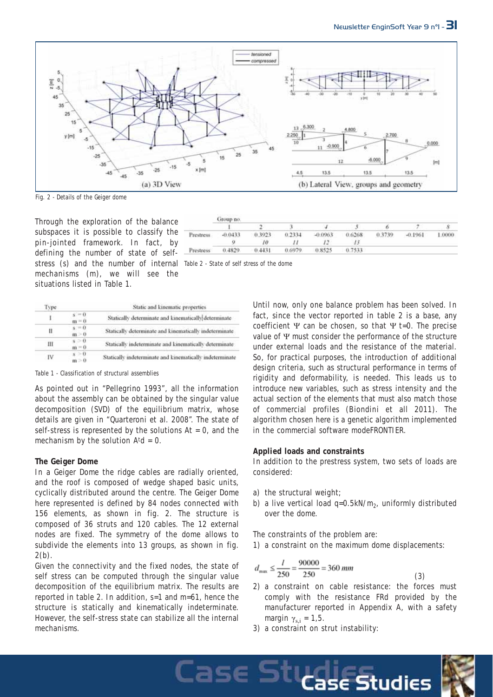7

6

Ń

1.0000



*Fig. 2 - Details of the Geiger dome*

Through the exploration of the balance subspaces it is possible to classify the pin-jointed framework. In fact, by defining the number of state of selfstress (s) and the number of internal *Table 2 - State of self stress of the dome* mechanisms (m), we will see the situations listed in Table 1.

Prestress -0.0433 0.3923 0.2334  $-0.0963$ 0.6268 0.3739  $-0.1961$  $\overline{Q}$  $10$  $_{II}$  $12$  $13$ 0.4829  $0.443$ 0.6979 0.8525 0.7533 Prestress

 $\overline{1}$ 

ä,

Lase S'

 $\overline{2}$ 

Group no

| Туре | Static and kinematic properties |                                                          |  |  |
|------|---------------------------------|----------------------------------------------------------|--|--|
|      | $s = 0$<br>$m = 0$              | Statically determinate and kinematically determinate     |  |  |
| Ш    | $s = 0$<br>m > 0                | Statically determinate and kinematically indeterminate   |  |  |
| Ш    | $s = 0$ .<br>$m = 0$            | Statically indeterminate and kinematically determinate   |  |  |
| IV   | $s = 0$<br>$m = 0$              | Statically indeterminate and kinematically indeterminate |  |  |

*Table 1 - Classification of structural assemblies*

As pointed out in "Pellegrino 1993", all the information about the assembly can be obtained by the singular value decomposition (SVD) of the equilibrium matrix, whose details are given in "Quarteroni et al. 2008". The state of self-stress is represented by the solutions  $At = 0$ , and the mechanism by the solution  $Atd = 0$ .

## **The Geiger Dome**

In a Geiger Dome the ridge cables are radially oriented, and the roof is composed of wedge shaped basic units, cyclically distributed around the centre. The Geiger Dome here represented is defined by 84 nodes connected with 156 elements, as shown in fig. 2. The structure is composed of 36 struts and 120 cables. The 12 external nodes are fixed. The symmetry of the dome allows to subdivide the elements into 13 groups, as shown in fig.  $2(b)$ .

Given the connectivity and the fixed nodes, the state of self stress can be computed through the singular value decomposition of the equilibrium matrix. The results are reported in table 2. In addition, s=1 and m=61, hence the structure is statically and kinematically indeterminate. However, the self-stress state can stabilize all the internal mechanisms.

Until now, only one balance problem has been solved. In fact, since the vector reported in table 2 is a base, any coefficient  $\Psi$  can be chosen, so that  $\Psi$  t=0. The precise value of Ψ must consider the performance of the structure under external loads and the resistance of the material. So, for practical purposes, the introduction of additional design criteria, such as structural performance in terms of rigidity and deformability, is needed. This leads us to introduce new variables, such as stress intensity and the actual section of the elements that must also match those of commercial profiles (Biondini et all 2011). The algorithm chosen here is a genetic algorithm implemented in the commercial software modeFRONTIER.

\$.

## **Applied loads and constraints**

In addition to the prestress system, two sets of loads are considered:

- a) the structural weight;
- b) a live vertical load  $q=0.5kN/m<sub>2</sub>$ , uniformly distributed over the dome.

The constraints of the problem are:

1) a constraint on the maximum dome displacements:

$$
d_{\max} \le \frac{l}{250} = \frac{90000}{250} = 360 \, \text{mm}
$$

- 2) a constraint on cable resistance: the forces must comply with the resistance FRd provided by the manufacturer reported in Appendix A, with a safety margin  $\gamma_{s,i} = 1,5$ .
- 3) a constraint on strut instability:



(3)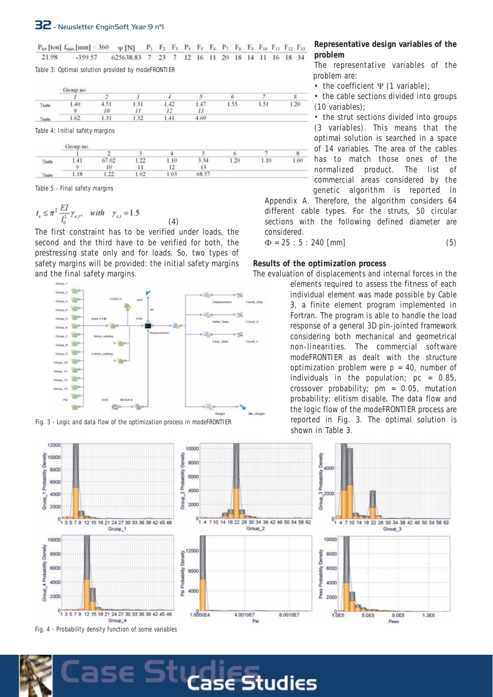$P_{tot}$  [ton]  $f_{max}$  [mm] < 360  $\psi$  [N]  $P_1$   $P_2$   $F_3$   $P_4$   $F_5$   $F_6$   $P_7$   $F_8$   $F_9$   $F_{10}$   $F_{11}$   $F_{12}$   $F_{13}$ 21.98 -359.57 625638.83 7 23 7 12 16 11 20 18 14 11 16 18 34

*Table 3: Optimal solution provided by modeFRONTIER*

|               | Group no. |      |         |     |      |    |                        |                      |  |
|---------------|-----------|------|---------|-----|------|----|------------------------|----------------------|--|
|               |           | ٠    |         |     |      |    |                        |                      |  |
| Ysafe<br>waxa | اللقاء    | 71.6 | $-21.4$ | ۰.  |      | 55 | $\tilde{\kappa}$<br>me | <b>HALL</b><br>القدر |  |
|               |           | Iθ   |         |     |      |    |                        |                      |  |
| Veiete        |           |      | -37<br> | 141 | 4.60 |    |                        |                      |  |

*Table 4: Initial safety margins*

|                        | Group no.  |          |                 |         |       |     |     |      |
|------------------------|------------|----------|-----------------|---------|-------|-----|-----|------|
|                        | <b>STY</b> |          |                 |         |       |     |     |      |
| Ysate<br>all and a low |            | 02       | $\sim$<br>si de | .10     |       | .20 | .10 | 1.60 |
|                        |            | 10       |                 |         |       |     |     |      |
| (sat-                  | $_{18}$    | つつ<br>** | O2              | $.03 -$ | 68.57 |     |     |      |

(4)

*Table 5 - Final safety margins*

$$
t_{s} \le \pi^{2} \frac{EI}{l_{o}^{2}} \gamma_{s,i}, \quad with \quad \gamma_{s,i} = 1.5
$$

The first constraint has to be verified under loads, the second and the third have to be verified for both, the prestressing state only and for loads. So, two types of safety margins will be provided: the initial safety margins and the final safety margins.





**Representative design variables of the problem**

The representative variables of the problem are:

• the coefficient Ψ (1 variable);

• the cable sections divided into groups (10 variables);

• the strut sections divided into groups (3 variables). This means that the optimal solution is searched in a space of 14 variables. The area of the cables has to match those ones of the normalized product. The list of commercial areas considered by the genetic algorithm is reported in

Appendix A. Therefore, the algorithm considers 64 different cable types. For the struts, 50 circular sections with the following defined diameter are considered.

 $\Phi = 25 : 5 : 240$  [mm] (5)

## **Results of the optimization process**

The evaluation of displacements and internal forces in the

elements required to assess the fitness of each individual element was made possible by Cable 3, a finite element program implemented in Fortran. The program is able to handle the load response of a general 3D pin-jointed framework considering both mechanical and geometrical non-linearities. The commercial software modeFRONTIER as dealt with the structure optimization problem were  $p = 40$ , number of individuals in the population;  $pc = 0.85$ , crossover probability;  $pm = 0.05$ , mutation probability; elitism disable. The data flow and the logic flow of the modeFRONTIER process are reported in Fig. 3. The optimal solution is shown in Table 3.



**Studies**